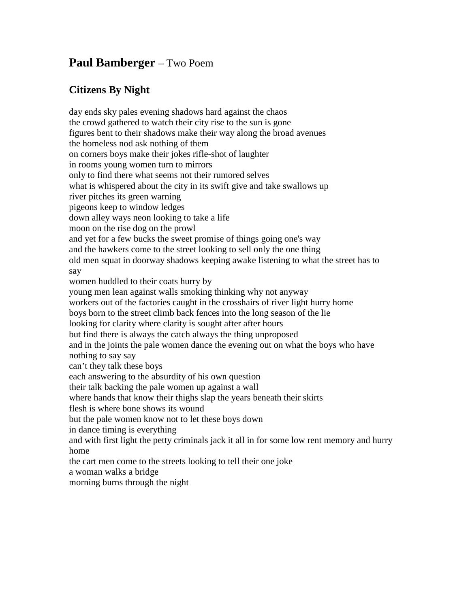## **Paul Bamberger** – Two Poem

## **Citizens By Night**

day ends sky pales evening shadows hard against the chaos the crowd gathered to watch their city rise to the sun is gone figures bent to their shadows make their way along the broad avenues the homeless nod ask nothing of them on corners boys make their jokes rifle-shot of laughter in rooms young women turn to mirrors only to find there what seems not their rumored selves what is whispered about the city in its swift give and take swallows up river pitches its green warning pigeons keep to window ledges down alley ways neon looking to take a life moon on the rise dog on the prowl and yet for a few bucks the sweet promise of things going one's way and the hawkers come to the street looking to sell only the one thing old men squat in doorway shadows keeping awake listening to what the street has to say women huddled to their coats hurry by young men lean against walls smoking thinking why not anyway workers out of the factories caught in the crosshairs of river light hurry home boys born to the street climb back fences into the long season of the lie looking for clarity where clarity is sought after after hours but find there is always the catch always the thing unproposed and in the joints the pale women dance the evening out on what the boys who have nothing to say say can't they talk these boys each answering to the absurdity of his own question their talk backing the pale women up against a wall where hands that know their thighs slap the years beneath their skirts flesh is where bone shows its wound but the pale women know not to let these boys down in dance timing is everything and with first light the petty criminals jack it all in for some low rent memory and hurry home the cart men come to the streets looking to tell their one joke a woman walks a bridge morning burns through the night